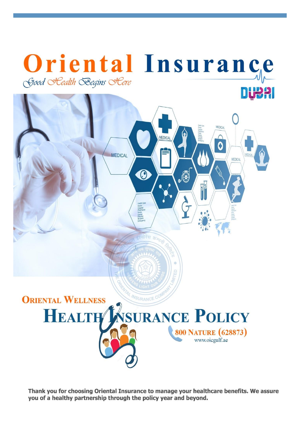

Thank you for choosing Oriental Insurance to manage your healthcare benefits. We assure you of a healthy partnership through the policy year and beyond.

AL INSURANCE C

**HEALTH MSURANCE POLICY** 

800 NATURE (628873) www.oicgulf.ae

**ORIENTAL WELLNESS**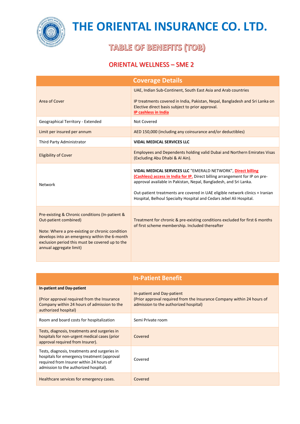

### **TABLE OF BENEFITS (TOB)**

### ORIENTAL WELLNESS – SME 2

| <b>Coverage Details</b>                                                                                                                                                                                                                                    |                                                                                                                                                                                                                                                                                                                                                                          |
|------------------------------------------------------------------------------------------------------------------------------------------------------------------------------------------------------------------------------------------------------------|--------------------------------------------------------------------------------------------------------------------------------------------------------------------------------------------------------------------------------------------------------------------------------------------------------------------------------------------------------------------------|
| Area of Cover                                                                                                                                                                                                                                              | UAE, Indian Sub-Continent, South East Asia and Arab countries<br>IP treatments covered in India, Pakistan, Nepal, Bangladesh and Sri Lanka on<br>Elective direct basis subject to prior approval.<br>IP cashless in India                                                                                                                                                |
| Geographical Territory - Extended                                                                                                                                                                                                                          | Not Covered                                                                                                                                                                                                                                                                                                                                                              |
| Limit per insured per annum                                                                                                                                                                                                                                | AED 150,000 (including any coinsurance and/or deductibles)                                                                                                                                                                                                                                                                                                               |
| Third Party Administrator                                                                                                                                                                                                                                  | <b>VIDAL MEDICAL SERVICES LLC</b>                                                                                                                                                                                                                                                                                                                                        |
| <b>Eligibility of Cover</b>                                                                                                                                                                                                                                | Employees and Dependents holding valid Dubai and Northern Emirates Visas<br>(Excluding Abu Dhabi & Al Ain).                                                                                                                                                                                                                                                              |
| Network                                                                                                                                                                                                                                                    | VIDAL MEDICAL SERVICES LLC "EMERALD NETWORK", Direct billing<br>(Cashless) access in India for IP. Direct billing arrangement for IP on pre-<br>approval available in Pakistan, Nepal, Bangladesh, and Sri Lanka.<br>Out-patient treatments are covered in UAE eligible network clinics + Iranian<br>Hospital, Belhoul Specialty Hospital and Cedars Jebel Ali Hospital. |
| Pre-existing & Chronic conditions (In-patient &<br>Out-patient combined)<br>Note: Where a pre-existing or chronic condition<br>develops into an emergency within the 6-month<br>exclusion period this must be covered up to the<br>annual aggregate limit) | Treatment for chronic & pre-existing conditions excluded for first 6 months<br>of first scheme membership. Included thereafter                                                                                                                                                                                                                                           |

| <b>In-Patient Benefit</b>                                                                                                                                                          |                                                                                                                                               |
|------------------------------------------------------------------------------------------------------------------------------------------------------------------------------------|-----------------------------------------------------------------------------------------------------------------------------------------------|
| <b>In-patient and Day-patient</b><br>(Prior approval required from the Insurance<br>Company within 24 hours of admission to the<br>authorized hospital)                            | In-patient and Day-patient<br>(Prior approval required from the Insurance Company within 24 hours of<br>admission to the authorized hospital) |
| Room and board costs for hospitalization                                                                                                                                           | Semi Private room                                                                                                                             |
| Tests, diagnosis, treatments and surgeries in<br>hospitals for non-urgent medical cases (prior<br>approval required from Insurer).                                                 | Covered                                                                                                                                       |
| Tests, diagnosis, treatments and surgeries in<br>hospitals for emergency treatment (approval<br>required from Insurer within 24 hours of<br>admission to the authorized hospital). | Covered                                                                                                                                       |
| Healthcare services for emergency cases.                                                                                                                                           | Covered                                                                                                                                       |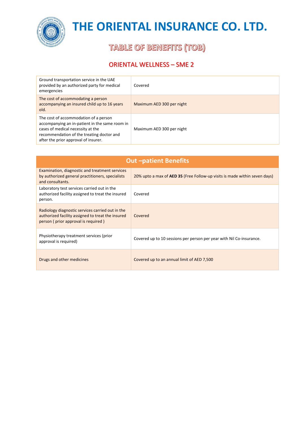

**TABLE OF BENEFITS (TOB)** 

### ORIENTAL WELLNESS – SME 2

| Ground transportation service in the UAE<br>provided by an authorized party for medical<br>emergencies                                                                                                            | Covered                   |
|-------------------------------------------------------------------------------------------------------------------------------------------------------------------------------------------------------------------|---------------------------|
| The cost of accommodating a person<br>accompanying an insured child up to 16 years<br>old.                                                                                                                        | Maximum AED 300 per night |
| The cost of accommodation of a person<br>accompanying an in-patient in the same room in<br>cases of medical necessity at the<br>recommendation of the treating doctor and<br>after the prior approval of insurer. | Maximum AED 300 per night |

| <b>Out-patient Benefits</b>                                                                                                                  |                                                                                   |  |
|----------------------------------------------------------------------------------------------------------------------------------------------|-----------------------------------------------------------------------------------|--|
| Examination, diagnostic and treatment services<br>by authorized general practitioners, specialists<br>and consultants.                       | 20% upto a max of <b>AED 35</b> (Free Follow-up visits is made within seven days) |  |
| Laboratory test services carried out in the<br>authorized facility assigned to treat the insured<br>person.                                  | Covered                                                                           |  |
| Radiology diagnostic services carried out in the<br>authorized facility assigned to treat the insured<br>person (prior approval is required) | Covered                                                                           |  |
| Physiotherapy treatment services (prior<br>approval is required)                                                                             | Covered up to 10 sessions per person per year with Nil Co-insurance.              |  |
| Drugs and other medicines                                                                                                                    | Covered up to an annual limit of AED 7,500                                        |  |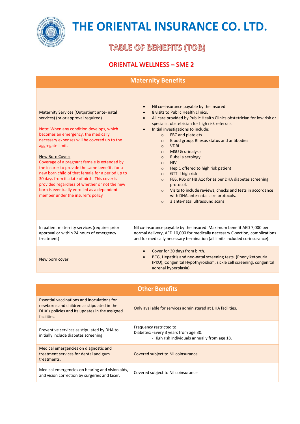

**TABLE OF BENEFITS (TOB)** 

### ORIENTAL WELLNESS – SME 2

| <b>Maternity Benefits</b>                                                                                                                                                                                                                                                                                                                                                                                                                                                                                                                                                                                            |                                                                                                                                                                                                                                                                                                                                                                                                                                                                                                                                                                                                                                                                                                                                                                                                                     |  |
|----------------------------------------------------------------------------------------------------------------------------------------------------------------------------------------------------------------------------------------------------------------------------------------------------------------------------------------------------------------------------------------------------------------------------------------------------------------------------------------------------------------------------------------------------------------------------------------------------------------------|---------------------------------------------------------------------------------------------------------------------------------------------------------------------------------------------------------------------------------------------------------------------------------------------------------------------------------------------------------------------------------------------------------------------------------------------------------------------------------------------------------------------------------------------------------------------------------------------------------------------------------------------------------------------------------------------------------------------------------------------------------------------------------------------------------------------|--|
| <b>Maternity Services (Outpatient ante- natal</b><br>services) (prior approval required)<br>Note: When any condition develops, which<br>becomes an emergency, the medically<br>necessary expenses will be covered up to the<br>aggregate limit.<br><b>New Born Cover:</b><br>Coverage of a pregnant female is extended by<br>the insurer to provide the same benefits for a<br>new born child of that female for a period up to<br>30 days from its date of birth. This cover is<br>provided regardless of whether or not the new<br>born is eventually enrolled as a dependent<br>member under the insurer's policy | Nil co-insurance payable by the insured<br>$\bullet$<br>8 visits to Public Health clinics.<br>All care provided by Public Health Clinics obstetrician for low risk or<br>$\bullet$<br>specialist obstetrician for high risk referrals.<br>Initial investigations to include:<br>FBC and platelets<br>$\circ$<br>Blood group, Rhesus status and antibodies<br>$\circ$<br><b>VDRL</b><br>$\circ$<br>MSU & urinalysis<br>$\circ$<br>Rubella serology<br>$\circ$<br><b>HIV</b><br>$\circ$<br>Hep C offered to high risk patient<br>$\circ$<br>GTT if high risk<br>$\circ$<br>FBS, RBS or HB A1c for as per DHA diabetes screening<br>$\circ$<br>protocol.<br>Visits to include reviews, checks and tests in accordance<br>$\Omega$<br>with DHA ante-natal care protocols.<br>3 ante-natal ultrasound scans.<br>$\Omega$ |  |
| In patient maternity services (requires prior<br>approval or within 24 hours of emergency<br>treatment)                                                                                                                                                                                                                                                                                                                                                                                                                                                                                                              | Nil co-insurance payable by the insured. Maximum benefit AED 7,000 per<br>normal delivery, AED 10,000 for medically necessary C-section, complications<br>and for medically necessary termination (all limits included co-insurance).                                                                                                                                                                                                                                                                                                                                                                                                                                                                                                                                                                               |  |
| New born cover                                                                                                                                                                                                                                                                                                                                                                                                                                                                                                                                                                                                       | Cover for 30 days from birth.<br>$\bullet$<br>BCG, Hepatitis and neo-natal screening tests. (Phenylketonuria<br>$\bullet$<br>(PKU), Congenital Hypothyroidism, sickle cell screening, congenital<br>adrenal hyperplasia)                                                                                                                                                                                                                                                                                                                                                                                                                                                                                                                                                                                            |  |

| <b>Other Benefits</b>                                                                                                                                      |                                                                                                                    |  |
|------------------------------------------------------------------------------------------------------------------------------------------------------------|--------------------------------------------------------------------------------------------------------------------|--|
| Essential vaccinations and inoculations for<br>newborns and children as stipulated in the<br>DHA's policies and its updates in the assigned<br>facilities. | Only available for services administered at DHA facilities.                                                        |  |
| Preventive services as stipulated by DHA to<br>initially include diabetes screening.                                                                       | Frequency restricted to:<br>Diabetes: -Every 3 years from age 30.<br>- High risk individuals annually from age 18. |  |
| Medical emergencies on diagnostic and<br>treatment services for dental and gum<br>treatments.                                                              | Covered subject to Nil coinsurance                                                                                 |  |
| Medical emergencies on hearing and vision aids,<br>and vision correction by surgeries and laser.                                                           | Covered subject to Nil coinsurance                                                                                 |  |